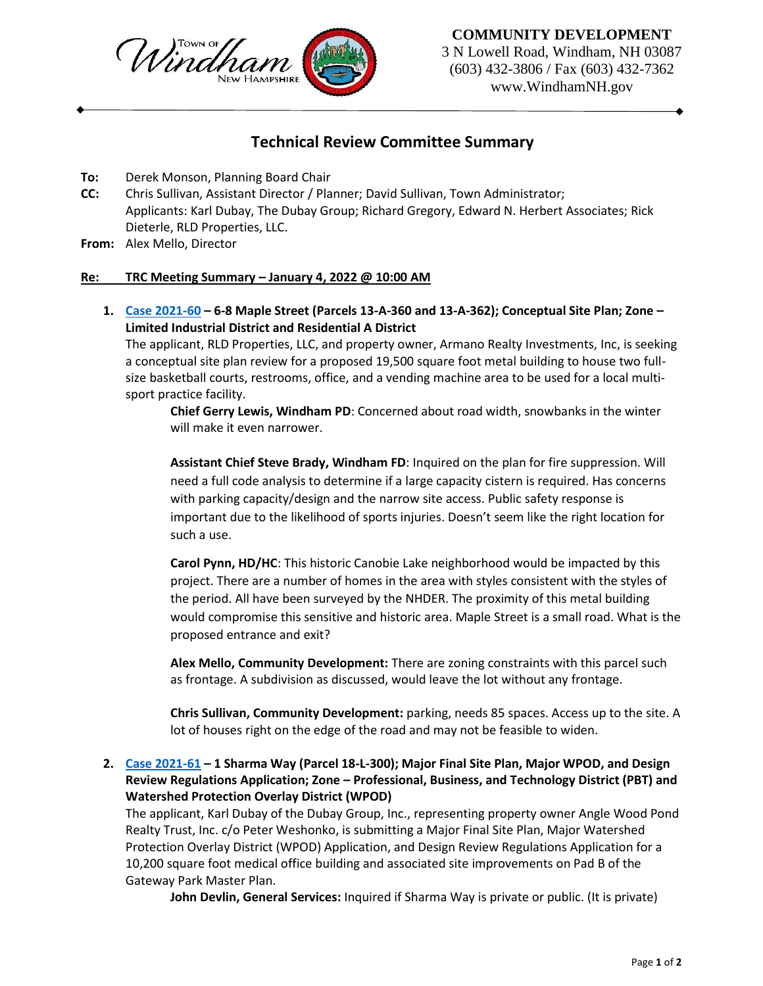

## **COMMUNITY DEVELOPMENT**

3 N Lowell Road, Windham, NH 03087 (603) 432-3806 / Fax (603) 432-7362 www.WindhamNH.gov

# **Technical Review Committee Summary**

- **To:** Derek Monson, Planning Board Chair
- **CC:** Chris Sullivan, Assistant Director / Planner; David Sullivan, Town Administrator; Applicants: Karl Dubay, The Dubay Group; Richard Gregory, Edward N. Herbert Associates; Rick Dieterle, RLD Properties, LLC.
- **From:** Alex Mello, Director

### **Re: TRC Meeting Summary – January 4, 2022 @ 10:00 AM**

**1. [Case 2021-60](https://www.windhamnh.gov/DocumentCenter/Index/823) – 6-8 Maple Street (Parcels 13-A-360 and 13-A-362); Conceptual Site Plan; Zone – Limited Industrial District and Residential A District**

The applicant, RLD Properties, LLC, and property owner, Armano Realty Investments, Inc, is seeking a conceptual site plan review for a proposed 19,500 square foot metal building to house two fullsize basketball courts, restrooms, office, and a vending machine area to be used for a local multisport practice facility.

**Chief Gerry Lewis, Windham PD**: Concerned about road width, snowbanks in the winter will make it even narrower.

**Assistant Chief Steve Brady, Windham FD**: Inquired on the plan for fire suppression. Will need a full code analysis to determine if a large capacity cistern is required. Has concerns with parking capacity/design and the narrow site access. Public safety response is important due to the likelihood of sports injuries. Doesn't seem like the right location for such a use.

**Carol Pynn, HD/HC**: This historic Canobie Lake neighborhood would be impacted by this project. There are a number of homes in the area with styles consistent with the styles of the period. All have been surveyed by the NHDER. The proximity of this metal building would compromise this sensitive and historic area. Maple Street is a small road. What is the proposed entrance and exit?

**Alex Mello, Community Development:** There are zoning constraints with this parcel such as frontage. A subdivision as discussed, would leave the lot without any frontage.

**Chris Sullivan, Community Development:** parking, needs 85 spaces. Access up to the site. A lot of houses right on the edge of the road and may not be feasible to widen.

# **2. [Case 2021-61](https://www.windhamnh.gov/DocumentCenter/Index/824) – 1 Sharma Way (Parcel 18-L-300); Major Final Site Plan, Major WPOD, and Design Review Regulations Application; Zone – Professional, Business, and Technology District (PBT) and Watershed Protection Overlay District (WPOD)**

The applicant, Karl Dubay of the Dubay Group, Inc., representing property owner Angle Wood Pond Realty Trust, Inc. c/o Peter Weshonko, is submitting a Major Final Site Plan, Major Watershed Protection Overlay District (WPOD) Application, and Design Review Regulations Application for a 10,200 square foot medical office building and associated site improvements on Pad B of the Gateway Park Master Plan.

**John Devlin, General Services:** Inquired if Sharma Way is private or public. (It is private)